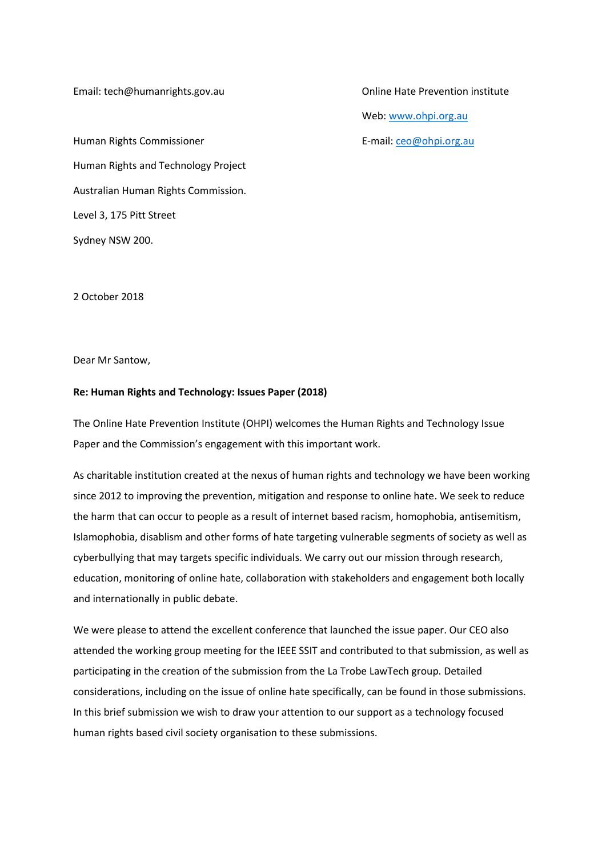Email: [tech@humanrights.gov.au](mailto:tech@humanrights.gov.au) Online Hate Prevention institute

Human Rights Commissioner **E-mail: [ceo@ohpi.org.au](mailto:ceo@ohpi.org.au)** Human Rights and Technology Project Australian Human Rights Commission. Level 3, 175 Pitt Street Sydney NSW 200.

Web: [www.ohpi.org.au](http://www.ohpi.org.au/)

2 October 2018

Dear Mr Santow,

## **Re: Human Rights and Technology: Issues Paper (2018)**

The Online Hate Prevention Institute (OHPI) welcomes the Human Rights and Technology Issue Paper and the Commission's engagement with this important work.

As charitable institution created at the nexus of human rights and technology we have been working since 2012 to improving the prevention, mitigation and response to online hate. We seek to reduce the harm that can occur to people as a result of internet based racism, homophobia, antisemitism, Islamophobia, disablism and other forms of hate targeting vulnerable segments of society as well as cyberbullying that may targets specific individuals. We carry out our mission through research, education, monitoring of online hate, collaboration with stakeholders and engagement both locally and internationally in public debate.

We were please to attend the excellent conference that launched the issue paper. Our CEO also attended the working group meeting for the IEEE SSIT and contributed to that submission, as well as participating in the creation of the submission from the La Trobe LawTech group. Detailed considerations, including on the issue of online hate specifically, can be found in those submissions. In this brief submission we wish to draw your attention to our support as a technology focused human rights based civil society organisation to these submissions.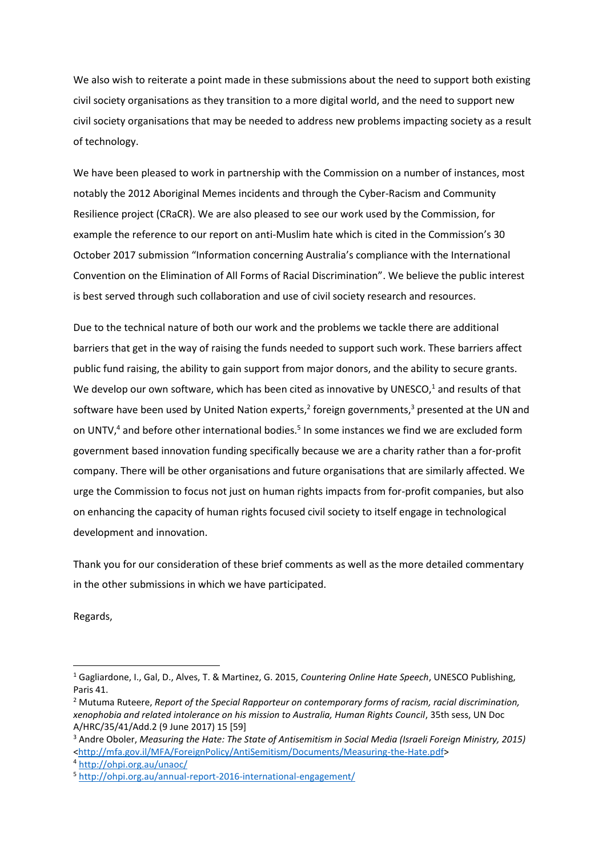We also wish to reiterate a point made in these submissions about the need to support both existing civil society organisations as they transition to a more digital world, and the need to support new civil society organisations that may be needed to address new problems impacting society as a result of technology.

We have been pleased to work in partnership with the Commission on a number of instances, most notably the 2012 Aboriginal Memes incidents and through the Cyber-Racism and Community Resilience project (CRaCR). We are also pleased to see our work used by the Commission, for example the reference to our report on anti-Muslim hate which is cited in the Commission's 30 October 2017 submission "Information concerning Australia's compliance with the International Convention on the Elimination of All Forms of Racial Discrimination". We believe the public interest is best served through such collaboration and use of civil society research and resources.

Due to the technical nature of both our work and the problems we tackle there are additional barriers that get in the way of raising the funds needed to support such work. These barriers affect public fund raising, the ability to gain support from major donors, and the ability to secure grants. We develop our own software, which has been cited as innovative by UNESCO, $1$  and results of that software have been used by United Nation experts,<sup>2</sup> foreign governments,<sup>3</sup> presented at the UN and on UNTV,<sup>4</sup> and before other international bodies.<sup>5</sup> In some instances we find we are excluded form government based innovation funding specifically because we are a charity rather than a for-profit company. There will be other organisations and future organisations that are similarly affected. We urge the Commission to focus not just on human rights impacts from for-profit companies, but also on enhancing the capacity of human rights focused civil society to itself engage in technological development and innovation.

Thank you for our consideration of these brief comments as well as the more detailed commentary in the other submissions in which we have participated.

Regards,

**.** 

<sup>1</sup> Gagliardone, I., Gal, D., Alves, T. & Martinez, G. 2015, *Countering Online Hate Speech*, UNESCO Publishing, Paris 41.

<sup>2</sup> Mutuma Ruteere, *Report of the Special Rapporteur on contemporary forms of racism, racial discrimination, xenophobia and related intolerance on his mission to Australia, Human Rights Council*, 35th sess, UN Doc A/HRC/35/41/Add.2 (9 June 2017) 15 [59]

<sup>3</sup> Andre Oboler, *Measuring the Hate: The State of Antisemitism in Social Media (Israeli Foreign Ministry, 2015)*  [<http://mfa.gov.il/MFA/ForeignPolicy/AntiSemitism/Documents/Measuring-the-Hate.pdf>](http://mfa.gov.il/MFA/ForeignPolicy/AntiSemitism/Documents/Measuring-the-Hate.pdf)

<sup>4</sup> <http://ohpi.org.au/unaoc/>

<sup>5</sup> <http://ohpi.org.au/annual-report-2016-international-engagement/>